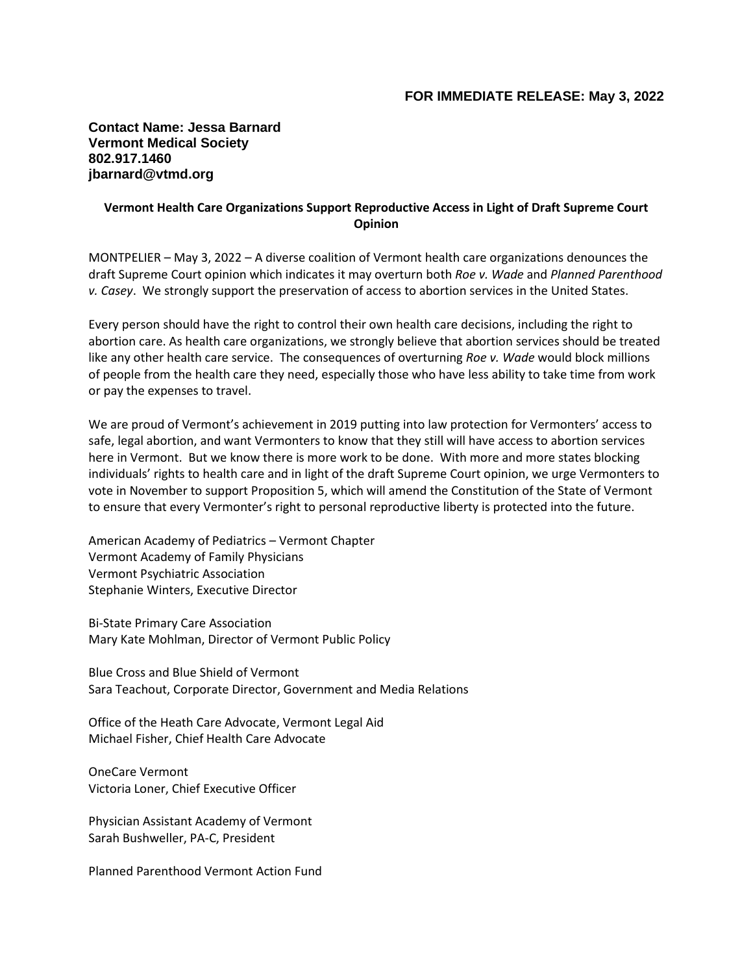**Contact Name: Jessa Barnard Vermont Medical Society 802.917.1460 jbarnard@vtmd.org**

## **Vermont Health Care Organizations Support Reproductive Access in Light of Draft Supreme Court Opinion**

MONTPELIER – May 3, 2022 – A diverse coalition of Vermont health care organizations denounces the draft Supreme Court opinion which indicates it may overturn both *Roe v. Wade* and *Planned Parenthood v. Casey*. We strongly support the preservation of access to abortion services in the United States.

Every person should have the right to control their own health care decisions, including the right to abortion care. As health care organizations, we strongly believe that abortion services should be treated like any other health care service. The consequences of overturning *Roe v. Wade* would block millions of people from the health care they need, especially those who have less ability to take time from work or pay the expenses to travel.

We are proud of Vermont's achievement in 2019 putting into law protection for Vermonters' access to safe, legal abortion, and want Vermonters to know that they still will have access to abortion services here in Vermont. But we know there is more work to be done. With more and more states blocking individuals' rights to health care and in light of the draft Supreme Court opinion, we urge Vermonters to vote in November to support Proposition 5, which will amend the Constitution of the State of Vermont to ensure that every Vermonter's right to personal reproductive liberty is protected into the future.

American Academy of Pediatrics – Vermont Chapter Vermont Academy of Family Physicians Vermont Psychiatric Association Stephanie Winters, Executive Director

Bi-State Primary Care Association Mary Kate Mohlman, Director of Vermont Public Policy

Blue Cross and Blue Shield of Vermont Sara Teachout, Corporate Director, Government and Media Relations

Office of the Heath Care Advocate, Vermont Legal Aid Michael Fisher, Chief Health Care Advocate

OneCare Vermont Victoria Loner, Chief Executive Officer

Physician Assistant Academy of Vermont Sarah Bushweller, PA-C, President

Planned Parenthood Vermont Action Fund